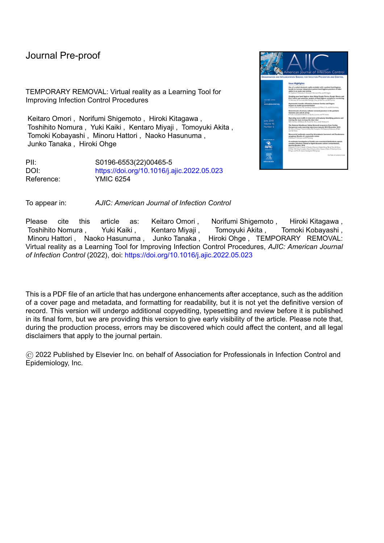## Journal Pre-proof

TEMPORARY REMOVAL: Virtual reality as a Learning Tool for Improving Infection Control Procedures

Keitaro Omori , Norifumi Shigemoto , Hiroki Kitagawa , Toshihito Nomura , Yuki Kaiki , Kentaro Miyaji , Tomoyuki Akita , Tomoki Kobayashi , Minoru Hattori , Naoko Hasunuma , Junko Tanaka , Hiroki Ohge

PII: S0196-6553(22)00465-5 DOI: <https://doi.org/10.1016/j.ajic.2022.05.023> Reference: YMIC 6254



To appear in: *AJIC: American Journal of Infection Control*

Please cite this article as: Keitaro-Omori, Norifumi-Shigemoto, Hiroki-Kitagawa, Toshihito Nomura , Yuki Kaiki , Kentaro Miyaji , Tomoyuki Akita , Tomoki Kobayashi , Minoru Hattori , Naoko Hasunuma , Junko Tanaka , Hiroki Ohge , TEMPORARY REMOVAL: Virtual reality as a Learning Tool for Improving Infection Control Procedures, *AJIC: American Journal of Infection Control* (2022), doi: <https://doi.org/10.1016/j.ajic.2022.05.023>

This is a PDF file of an article that has undergone enhancements after acceptance, such as the addition of a cover page and metadata, and formatting for readability, but it is not yet the definitive version of record. This version will undergo additional copyediting, typesetting and review before it is published in its final form, but we are providing this version to give early visibility of the article. Please note that, during the production process, errors may be discovered which could affect the content, and all legal disclaimers that apply to the journal pertain.

© 2022 Published by Elsevier Inc. on behalf of Association for Professionals in Infection Control and Epidemiology, Inc.